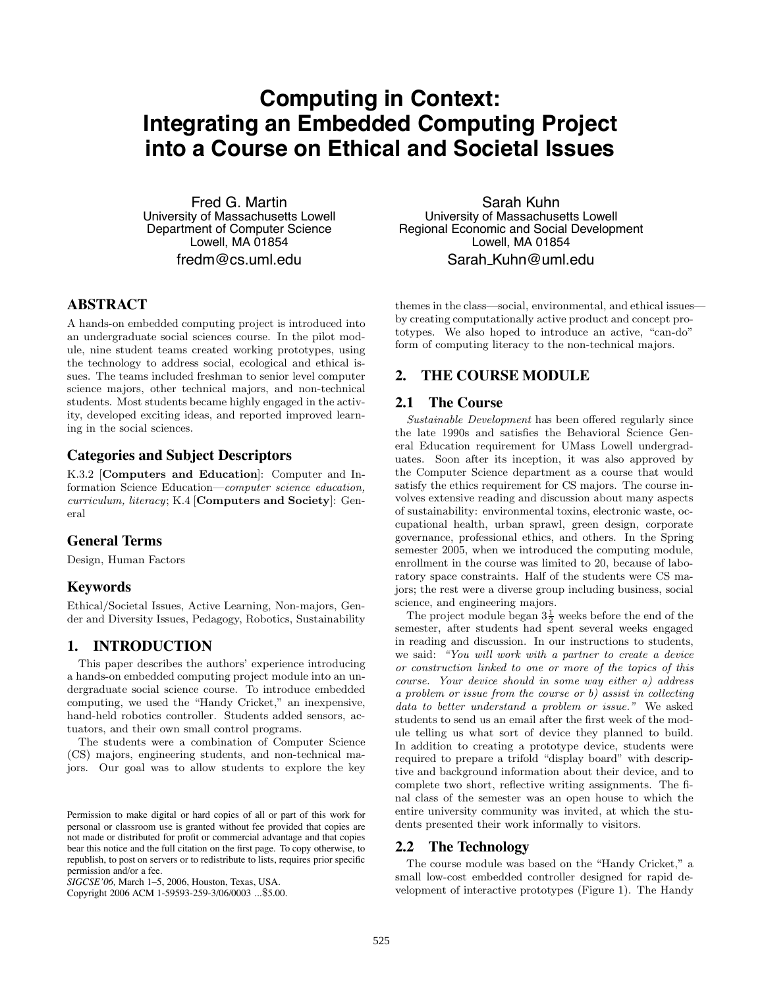# **Computing in Context: Integrating an Embedded Computing Project into a Course on Ethical and Societal Issues**

Fred G. Martin University of Massachusetts Lowell Department of Computer Science Lowell, MA 01854 fredm@cs.uml.edu

## **ABSTRACT**

A hands-on embedded computing project is introduced into an undergraduate social sciences course. In the pilot module, nine student teams created working prototypes, using the technology to address social, ecological and ethical issues. The teams included freshman to senior level computer science majors, other technical majors, and non-technical students. Most students became highly engaged in the activity, developed exciting ideas, and reported improved learning in the social sciences.

# **Categories and Subject Descriptors**

K.3.2 [**Computers and Education**]: Computer and Information Science Education—*computer science education, curriculum, literacy*; K.4 [**Computers and Society**]: General

## **General Terms**

Design, Human Factors

## **Keywords**

Ethical/Societal Issues, Active Learning, Non-majors, Gender and Diversity Issues, Pedagogy, Robotics, Sustainability

# **1. INTRODUCTION**

This paper describes the authors' experience introducing a hands-on embedded computing project module into an undergraduate social science course. To introduce embedded computing, we used the "Handy Cricket," an inexpensive, hand-held robotics controller. Students added sensors, actuators, and their own small control programs.

The students were a combination of Computer Science (CS) majors, engineering students, and non-technical majors. Our goal was to allow students to explore the key

Copyright 2006 ACM 1-59593-259-3/06/0003 ...\$5.00.

Sarah Kuhn University of Massachusetts Lowell Regional Economic and Social Development Lowell, MA 01854 Sarah Kuhn@uml.edu

themes in the class—social, environmental, and ethical issues by creating computationally active product and concept prototypes. We also hoped to introduce an active, "can-do" form of computing literacy to the non-technical majors.

# **2. THE COURSE MODULE**

## **2.1 The Course**

*Sustainable Development* has been offered regularly since the late 1990s and satisfies the Behavioral Science General Education requirement for UMass Lowell undergraduates. Soon after its inception, it was also approved by the Computer Science department as a course that would satisfy the ethics requirement for CS majors. The course involves extensive reading and discussion about many aspects of sustainability: environmental toxins, electronic waste, occupational health, urban sprawl, green design, corporate governance, professional ethics, and others. In the Spring semester 2005, when we introduced the computing module, enrollment in the course was limited to 20, because of laboratory space constraints. Half of the students were CS majors; the rest were a diverse group including business, social science, and engineering majors.

The project module began  $3\frac{1}{2}$  weeks before the end of the semester, after students had spent several weeks engaged in reading and discussion. In our instructions to students, we said: *"You will work with a partner to create a device or construction linked to one or more of the topics of this course. Your device should in some way either a) address a problem or issue from the course or b) assist in collecting data to better understand a problem or issue."* We asked students to send us an email after the first week of the module telling us what sort of device they planned to build. In addition to creating a prototype device, students were required to prepare a trifold "display board" with descriptive and background information about their device, and to complete two short, reflective writing assignments. The final class of the semester was an open house to which the entire university community was invited, at which the students presented their work informally to visitors.

## **2.2 The Technology**

The course module was based on the "Handy Cricket," a small low-cost embedded controller designed for rapid development of interactive prototypes (Figure 1). The Handy

Permission to make digital or hard copies of all or part of this work for personal or classroom use is granted without fee provided that copies are not made or distributed for profit or commercial advantage and that copies bear this notice and the full citation on the first page. To copy otherwise, to republish, to post on servers or to redistribute to lists, requires prior specific permission and/or a fee.

*SIGCSE'06,* March 1–5, 2006, Houston, Texas, USA.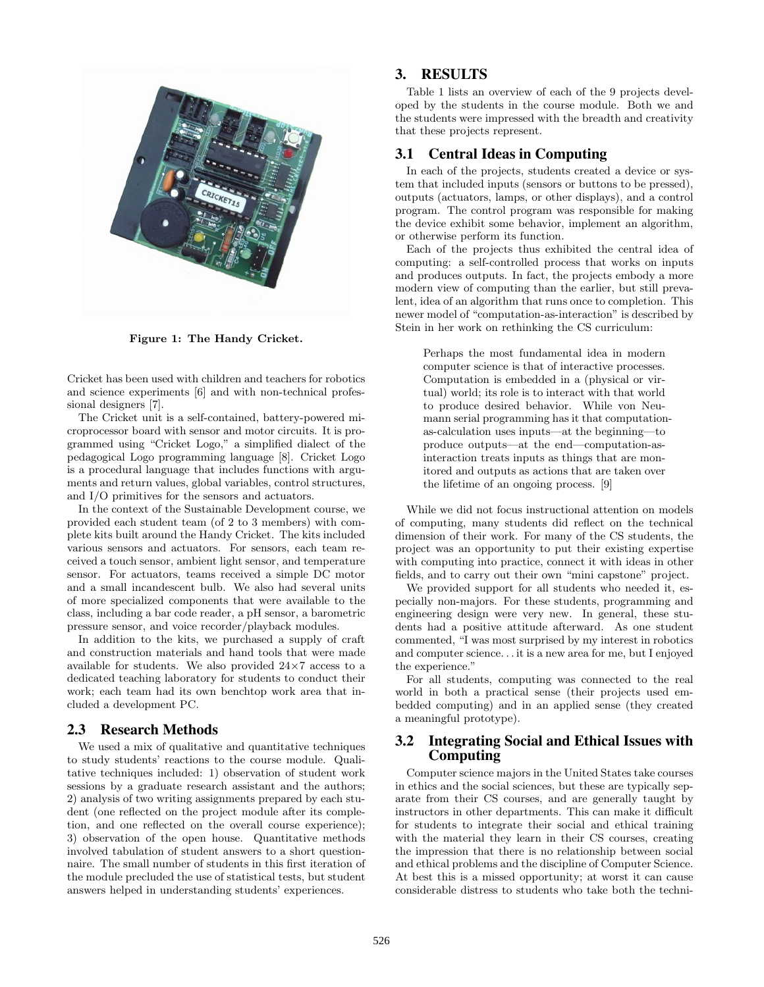

**Figure 1: The Handy Cricket.**

Cricket has been used with children and teachers for robotics and science experiments [6] and with non-technical professional designers [7].

The Cricket unit is a self-contained, battery-powered microprocessor board with sensor and motor circuits. It is programmed using "Cricket Logo," a simplified dialect of the pedagogical Logo programming language [8]. Cricket Logo is a procedural language that includes functions with arguments and return values, global variables, control structures, and I/O primitives for the sensors and actuators.

In the context of the Sustainable Development course, we provided each student team (of 2 to 3 members) with complete kits built around the Handy Cricket. The kits included various sensors and actuators. For sensors, each team received a touch sensor, ambient light sensor, and temperature sensor. For actuators, teams received a simple DC motor and a small incandescent bulb. We also had several units of more specialized components that were available to the class, including a bar code reader, a pH sensor, a barometric pressure sensor, and voice recorder/playback modules.

In addition to the kits, we purchased a supply of craft and construction materials and hand tools that were made available for students. We also provided 24*×*7 access to a dedicated teaching laboratory for students to conduct their work; each team had its own benchtop work area that included a development PC.

## **2.3 Research Methods**

We used a mix of qualitative and quantitative techniques to study students' reactions to the course module. Qualitative techniques included: 1) observation of student work sessions by a graduate research assistant and the authors; 2) analysis of two writing assignments prepared by each student (one reflected on the project module after its completion, and one reflected on the overall course experience); 3) observation of the open house. Quantitative methods involved tabulation of student answers to a short questionnaire. The small number of students in this first iteration of the module precluded the use of statistical tests, but student answers helped in understanding students' experiences.

## **3. RESULTS**

Table 1 lists an overview of each of the 9 projects developed by the students in the course module. Both we and the students were impressed with the breadth and creativity that these projects represent.

#### **3.1 Central Ideas in Computing**

In each of the projects, students created a device or system that included inputs (sensors or buttons to be pressed), outputs (actuators, lamps, or other displays), and a control program. The control program was responsible for making the device exhibit some behavior, implement an algorithm, or otherwise perform its function.

Each of the projects thus exhibited the central idea of computing: a self-controlled process that works on inputs and produces outputs. In fact, the projects embody a more modern view of computing than the earlier, but still prevalent, idea of an algorithm that runs once to completion. This newer model of "computation-as-interaction" is described by Stein in her work on rethinking the CS curriculum:

Perhaps the most fundamental idea in modern computer science is that of interactive processes. Computation is embedded in a (physical or virtual) world; its role is to interact with that world to produce desired behavior. While von Neumann serial programming has it that computationas-calculation uses inputs—at the beginning—to produce outputs—at the end—computation-asinteraction treats inputs as things that are monitored and outputs as actions that are taken over the lifetime of an ongoing process. [9]

While we did not focus instructional attention on models of computing, many students did reflect on the technical dimension of their work. For many of the CS students, the project was an opportunity to put their existing expertise with computing into practice, connect it with ideas in other fields, and to carry out their own "mini capstone" project.

We provided support for all students who needed it, especially non-majors. For these students, programming and engineering design were very new. In general, these students had a positive attitude afterward. As one student commented, "I was most surprised by my interest in robotics and computer science. . . it is a new area for me, but I enjoyed the experience."

For all students, computing was connected to the real world in both a practical sense (their projects used embedded computing) and in an applied sense (they created a meaningful prototype).

## **3.2 Integrating Social and Ethical Issues with Computing**

Computer science majors in the United States take courses in ethics and the social sciences, but these are typically separate from their CS courses, and are generally taught by instructors in other departments. This can make it difficult for students to integrate their social and ethical training with the material they learn in their CS courses, creating the impression that there is no relationship between social and ethical problems and the discipline of Computer Science. At best this is a missed opportunity; at worst it can cause considerable distress to students who take both the techni-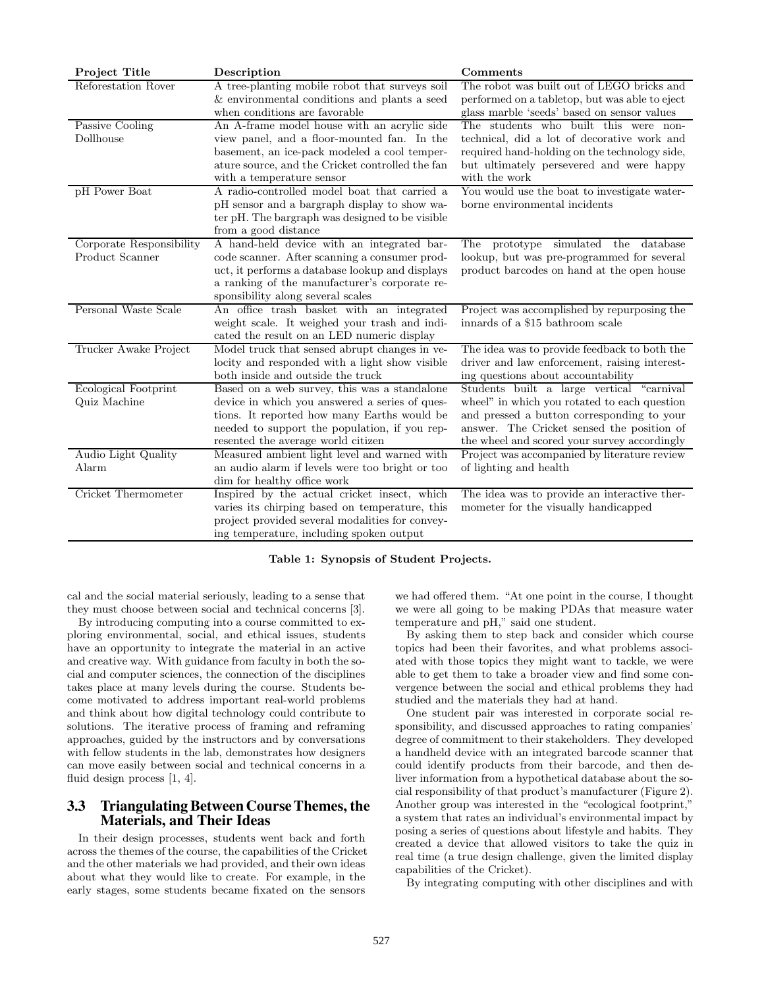| Project Title                | Description                                                                                     | Comments                                                               |
|------------------------------|-------------------------------------------------------------------------------------------------|------------------------------------------------------------------------|
| Reforestation Rover          | A tree-planting mobile robot that surveys soil                                                  | The robot was built out of LEGO bricks and                             |
|                              | & environmental conditions and plants a seed                                                    | performed on a tabletop, but was able to eject                         |
|                              | when conditions are favorable                                                                   | glass marble 'seeds' based on sensor values                            |
| <b>Passive Cooling</b>       | An A-frame model house with an acrylic side                                                     | The students who built this were non-                                  |
| Dollhouse                    | view panel, and a floor-mounted fan. In the                                                     | technical, did a lot of decorative work and                            |
|                              | basement, an ice-pack modeled a cool temper-                                                    | required hand-holding on the technology side,                          |
|                              | ature source, and the Cricket controlled the fan<br>with a temperature sensor                   | but ultimately persevered and were happy<br>with the work              |
| pH Power Boat                | A radio-controlled model boat that carried a                                                    | You would use the boat to investigate water-                           |
|                              | pH sensor and a bargraph display to show wa-                                                    | borne environmental incidents                                          |
|                              | ter pH. The bargraph was designed to be visible                                                 |                                                                        |
|                              | from a good distance                                                                            |                                                                        |
| Corporate Responsibility     | A hand-held device with an integrated bar-                                                      | prototype simulated the database<br>The                                |
| Product Scanner              | code scanner. After scanning a consumer prod-                                                   | lookup, but was pre-programmed for several                             |
|                              | uct, it performs a database lookup and displays                                                 | product barcodes on hand at the open house                             |
|                              | a ranking of the manufacturer's corporate re-                                                   |                                                                        |
|                              | sponsibility along several scales                                                               |                                                                        |
| Personal Waste Scale         | An office trash basket with an integrated                                                       | Project was accomplished by repurposing the                            |
|                              | weight scale. It weighed your trash and indi-                                                   | innards of a \$15 bathroom scale                                       |
|                              | cated the result on an LED numeric display                                                      |                                                                        |
| Trucker Awake Project        | Model truck that sensed abrupt changes in ve-                                                   | The idea was to provide feedback to both the                           |
|                              | locity and responded with a light show visible                                                  | driver and law enforcement, raising interest-                          |
|                              | both inside and outside the truck                                                               | ing questions about accountability                                     |
| Ecological Footprint         | Based on a web survey, this was a standalone                                                    | Students built a large vertical "carnival"                             |
| Quiz Machine                 | device in which you answered a series of ques-                                                  | wheel" in which you rotated to each question                           |
|                              | tions. It reported how many Earths would be                                                     | and pressed a button corresponding to your                             |
|                              | needed to support the population, if you rep-                                                   | answer. The Cricket sensed the position of                             |
|                              | resented the average world citizen                                                              | the wheel and scored your survey accordingly                           |
| Audio Light Quality<br>Alarm | Measured ambient light level and warned with<br>an audio alarm if levels were too bright or too | Project was accompanied by literature review<br>of lighting and health |
|                              | dim for healthy office work                                                                     |                                                                        |
| Cricket Thermometer          | Inspired by the actual cricket insect, which                                                    | The idea was to provide an interactive ther-                           |
|                              | varies its chirping based on temperature, this                                                  | mometer for the visually handicapped                                   |
|                              | project provided several modalities for convey-                                                 |                                                                        |
|                              | ing temperature, including spoken output                                                        |                                                                        |

**Table 1: Synopsis of Student Projects.**

cal and the social material seriously, leading to a sense that they must choose between social and technical concerns [3].

By introducing computing into a course committed to exploring environmental, social, and ethical issues, students have an opportunity to integrate the material in an active and creative way. With guidance from faculty in both the social and computer sciences, the connection of the disciplines takes place at many levels during the course. Students become motivated to address important real-world problems and think about how digital technology could contribute to solutions. The iterative process of framing and reframing approaches, guided by the instructors and by conversations with fellow students in the lab, demonstrates how designers can move easily between social and technical concerns in a fluid design process [1, 4].

#### **3.3 Triangulating Between Course Themes, the Materials, and Their Ideas**

In their design processes, students went back and forth across the themes of the course, the capabilities of the Cricket and the other materials we had provided, and their own ideas about what they would like to create. For example, in the early stages, some students became fixated on the sensors

we had offered them. "At one point in the course, I thought we were all going to be making PDAs that measure water temperature and pH," said one student.

By asking them to step back and consider which course topics had been their favorites, and what problems associated with those topics they might want to tackle, we were able to get them to take a broader view and find some convergence between the social and ethical problems they had studied and the materials they had at hand.

One student pair was interested in corporate social responsibility, and discussed approaches to rating companies' degree of commitment to their stakeholders. They developed a handheld device with an integrated barcode scanner that could identify products from their barcode, and then deliver information from a hypothetical database about the social responsibility of that product's manufacturer (Figure 2). Another group was interested in the "ecological footprint," a system that rates an individual's environmental impact by posing a series of questions about lifestyle and habits. They created a device that allowed visitors to take the quiz in real time (a true design challenge, given the limited display capabilities of the Cricket).

By integrating computing with other disciplines and with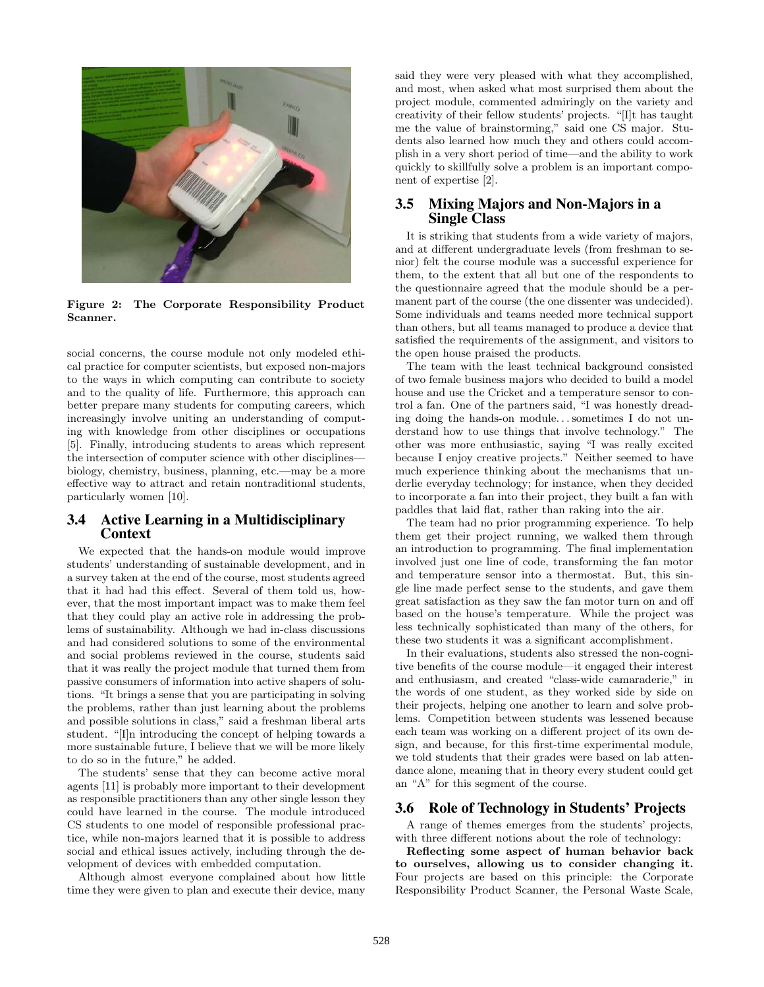

**Figure 2: The Corporate Responsibility Product Scanner.**

social concerns, the course module not only modeled ethical practice for computer scientists, but exposed non-majors to the ways in which computing can contribute to society and to the quality of life. Furthermore, this approach can better prepare many students for computing careers, which increasingly involve uniting an understanding of computing with knowledge from other disciplines or occupations [5]. Finally, introducing students to areas which represent the intersection of computer science with other disciplines biology, chemistry, business, planning, etc.—may be a more effective way to attract and retain nontraditional students, particularly women [10].

## **3.4 Active Learning in a Multidisciplinary Context**

We expected that the hands-on module would improve students' understanding of sustainable development, and in a survey taken at the end of the course, most students agreed that it had had this effect. Several of them told us, however, that the most important impact was to make them feel that they could play an active role in addressing the problems of sustainability. Although we had in-class discussions and had considered solutions to some of the environmental and social problems reviewed in the course, students said that it was really the project module that turned them from passive consumers of information into active shapers of solutions. "It brings a sense that you are participating in solving the problems, rather than just learning about the problems and possible solutions in class," said a freshman liberal arts student. "[I]n introducing the concept of helping towards a more sustainable future, I believe that we will be more likely to do so in the future," he added.

The students' sense that they can become active moral agents [11] is probably more important to their development as responsible practitioners than any other single lesson they could have learned in the course. The module introduced CS students to one model of responsible professional practice, while non-majors learned that it is possible to address social and ethical issues actively, including through the development of devices with embedded computation.

Although almost everyone complained about how little time they were given to plan and execute their device, many said they were very pleased with what they accomplished, and most, when asked what most surprised them about the project module, commented admiringly on the variety and creativity of their fellow students' projects. "[I]t has taught me the value of brainstorming," said one CS major. Students also learned how much they and others could accomplish in a very short period of time—and the ability to work quickly to skillfully solve a problem is an important component of expertise [2].

#### **3.5 Mixing Majors and Non-Majors in a Single Class**

It is striking that students from a wide variety of majors, and at different undergraduate levels (from freshman to senior) felt the course module was a successful experience for them, to the extent that all but one of the respondents to the questionnaire agreed that the module should be a permanent part of the course (the one dissenter was undecided). Some individuals and teams needed more technical support than others, but all teams managed to produce a device that satisfied the requirements of the assignment, and visitors to the open house praised the products.

The team with the least technical background consisted of two female business majors who decided to build a model house and use the Cricket and a temperature sensor to control a fan. One of the partners said, "I was honestly dreading doing the hands-on module. . . sometimes I do not understand how to use things that involve technology." The other was more enthusiastic, saying "I was really excited because I enjoy creative projects." Neither seemed to have much experience thinking about the mechanisms that underlie everyday technology; for instance, when they decided to incorporate a fan into their project, they built a fan with paddles that laid flat, rather than raking into the air.

The team had no prior programming experience. To help them get their project running, we walked them through an introduction to programming. The final implementation involved just one line of code, transforming the fan motor and temperature sensor into a thermostat. But, this single line made perfect sense to the students, and gave them great satisfaction as they saw the fan motor turn on and off based on the house's temperature. While the project was less technically sophisticated than many of the others, for these two students it was a significant accomplishment.

In their evaluations, students also stressed the non-cognitive benefits of the course module—it engaged their interest and enthusiasm, and created "class-wide camaraderie," in the words of one student, as they worked side by side on their projects, helping one another to learn and solve problems. Competition between students was lessened because each team was working on a different project of its own design, and because, for this first-time experimental module, we told students that their grades were based on lab attendance alone, meaning that in theory every student could get an "A" for this segment of the course.

#### **3.6 Role of Technology in Students' Projects**

A range of themes emerges from the students' projects, with three different notions about the role of technology:

**Reflecting some aspect of human behavior back to ourselves, allowing us to consider changing it.** Four projects are based on this principle: the Corporate Responsibility Product Scanner, the Personal Waste Scale,